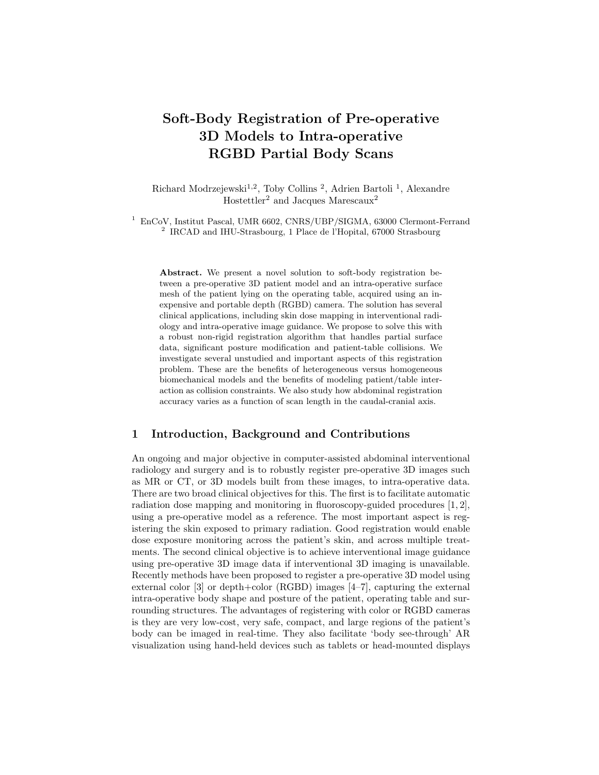# Soft-Body Registration of Pre-operative 3D Models to Intra-operative RGBD Partial Body Scans

Richard Modrzejewski<sup>1,2</sup>, Toby Collins<sup>2</sup>, Adrien Bartoli<sup>1</sup>, Alexandre Hostettler<sup>2</sup> and Jacques Marescaux<sup>2</sup>

<sup>1</sup> EnCoV, Institut Pascal, UMR 6602, CNRS/UBP/SIGMA, 63000 Clermont-Ferrand 2 IRCAD and IHU-Strasbourg, 1 Place de l'Hopital, 67000 Strasbourg

Abstract. We present a novel solution to soft-body registration between a pre-operative 3D patient model and an intra-operative surface mesh of the patient lying on the operating table, acquired using an inexpensive and portable depth (RGBD) camera. The solution has several clinical applications, including skin dose mapping in interventional radiology and intra-operative image guidance. We propose to solve this with a robust non-rigid registration algorithm that handles partial surface data, significant posture modification and patient-table collisions. We investigate several unstudied and important aspects of this registration problem. These are the benefits of heterogeneous versus homogeneous biomechanical models and the benefits of modeling patient/table interaction as collision constraints. We also study how abdominal registration accuracy varies as a function of scan length in the caudal-cranial axis.

# 1 Introduction, Background and Contributions

An ongoing and major objective in computer-assisted abdominal interventional radiology and surgery and is to robustly register pre-operative 3D images such as MR or CT, or 3D models built from these images, to intra-operative data. There are two broad clinical objectives for this. The first is to facilitate automatic radiation dose mapping and monitoring in fluoroscopy-guided procedures [1, 2], using a pre-operative model as a reference. The most important aspect is registering the skin exposed to primary radiation. Good registration would enable dose exposure monitoring across the patient's skin, and across multiple treatments. The second clinical objective is to achieve interventional image guidance using pre-operative 3D image data if interventional 3D imaging is unavailable. Recently methods have been proposed to register a pre-operative 3D model using external color [3] or depth+color (RGBD) images [4–7], capturing the external intra-operative body shape and posture of the patient, operating table and surrounding structures. The advantages of registering with color or RGBD cameras is they are very low-cost, very safe, compact, and large regions of the patient's body can be imaged in real-time. They also facilitate 'body see-through' AR visualization using hand-held devices such as tablets or head-mounted displays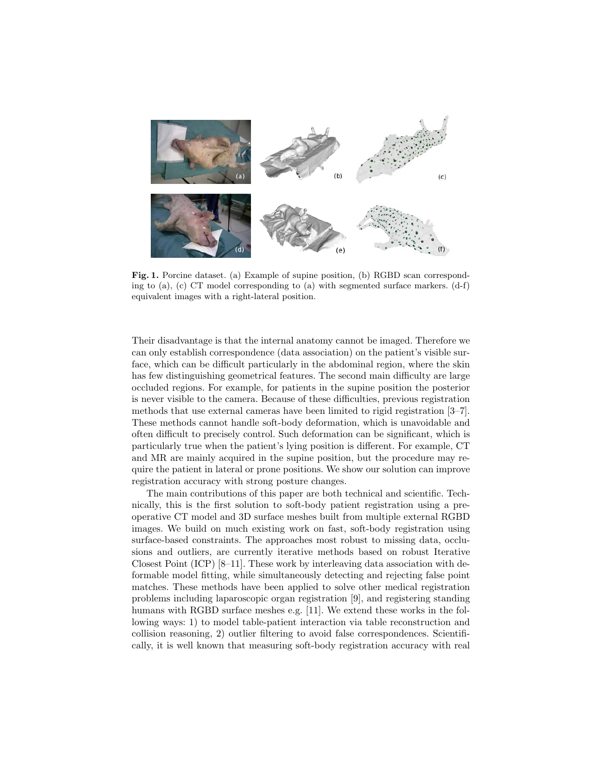

Fig. 1. Porcine dataset. (a) Example of supine position, (b) RGBD scan corresponding to  $(a)$ ,  $(c)$  CT model corresponding to  $(a)$  with segmented surface markers.  $(d-f)$ equivalent images with a right-lateral position.

Their disadvantage is that the internal anatomy cannot be imaged. Therefore we can only establish correspondence (data association) on the patient's visible surface, which can be difficult particularly in the abdominal region, where the skin has few distinguishing geometrical features. The second main difficulty are large occluded regions. For example, for patients in the supine position the posterior is never visible to the camera. Because of these difficulties, previous registration methods that use external cameras have been limited to rigid registration [3–7]. These methods cannot handle soft-body deformation, which is unavoidable and often difficult to precisely control. Such deformation can be significant, which is particularly true when the patient's lying position is different. For example, CT and MR are mainly acquired in the supine position, but the procedure may require the patient in lateral or prone positions. We show our solution can improve registration accuracy with strong posture changes.

The main contributions of this paper are both technical and scientific. Technically, this is the first solution to soft-body patient registration using a preoperative CT model and 3D surface meshes built from multiple external RGBD images. We build on much existing work on fast, soft-body registration using surface-based constraints. The approaches most robust to missing data, occlusions and outliers, are currently iterative methods based on robust Iterative Closest Point (ICP) [8–11]. These work by interleaving data association with deformable model fitting, while simultaneously detecting and rejecting false point matches. These methods have been applied to solve other medical registration problems including laparoscopic organ registration [9], and registering standing humans with RGBD surface meshes e.g. [11]. We extend these works in the following ways: 1) to model table-patient interaction via table reconstruction and collision reasoning, 2) outlier filtering to avoid false correspondences. Scientifically, it is well known that measuring soft-body registration accuracy with real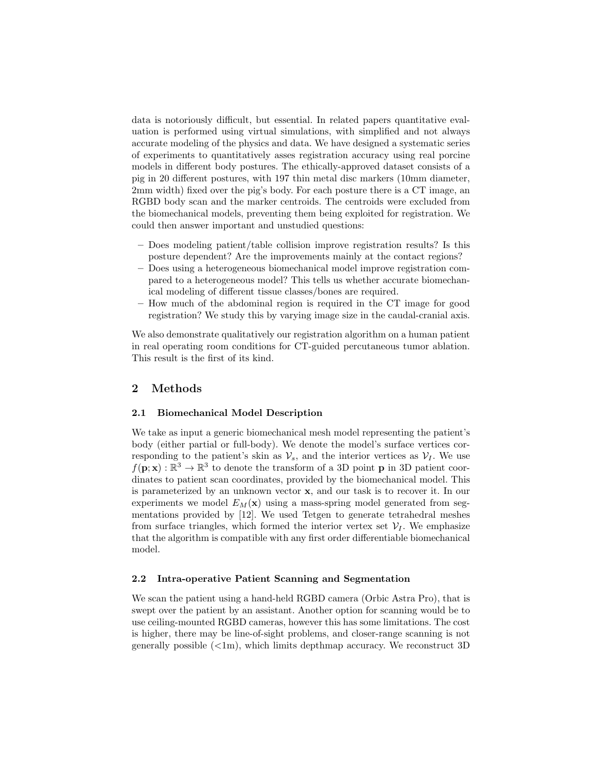data is notoriously difficult, but essential. In related papers quantitative evaluation is performed using virtual simulations, with simplified and not always accurate modeling of the physics and data. We have designed a systematic series of experiments to quantitatively asses registration accuracy using real porcine models in different body postures. The ethically-approved dataset consists of a pig in 20 different postures, with 197 thin metal disc markers (10mm diameter, 2mm width) fixed over the pig's body. For each posture there is a CT image, an RGBD body scan and the marker centroids. The centroids were excluded from the biomechanical models, preventing them being exploited for registration. We could then answer important and unstudied questions:

- Does modeling patient/table collision improve registration results? Is this posture dependent? Are the improvements mainly at the contact regions?
- Does using a heterogeneous biomechanical model improve registration compared to a heterogeneous model? This tells us whether accurate biomechanical modeling of different tissue classes/bones are required.
- How much of the abdominal region is required in the CT image for good registration? We study this by varying image size in the caudal-cranial axis.

We also demonstrate qualitatively our registration algorithm on a human patient in real operating room conditions for CT-guided percutaneous tumor ablation. This result is the first of its kind.

# 2 Methods

## 2.1 Biomechanical Model Description

We take as input a generic biomechanical mesh model representing the patient's body (either partial or full-body). We denote the model's surface vertices corresponding to the patient's skin as  $\mathcal{V}_s$ , and the interior vertices as  $\mathcal{V}_I$ . We use  $f(\mathbf{p}; \mathbf{x}) : \mathbb{R}^3 \to \mathbb{R}^3$  to denote the transform of a 3D point **p** in 3D patient coordinates to patient scan coordinates, provided by the biomechanical model. This is parameterized by an unknown vector x, and our task is to recover it. In our experiments we model  $E_M(\mathbf{x})$  using a mass-spring model generated from segmentations provided by [12]. We used Tetgen to generate tetrahedral meshes from surface triangles, which formed the interior vertex set  $V_I$ . We emphasize that the algorithm is compatible with any first order differentiable biomechanical model.

### 2.2 Intra-operative Patient Scanning and Segmentation

We scan the patient using a hand-held RGBD camera (Orbic Astra Pro), that is swept over the patient by an assistant. Another option for scanning would be to use ceiling-mounted RGBD cameras, however this has some limitations. The cost is higher, there may be line-of-sight problems, and closer-range scanning is not generally possible  $\left\langle \langle 1m \rangle \right\rangle$ , which limits depthmap accuracy. We reconstruct 3D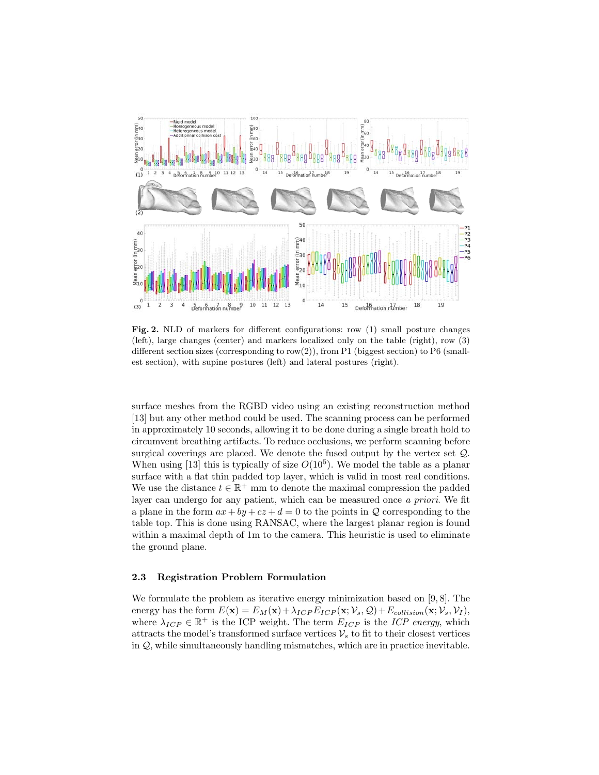

Fig. 2. NLD of markers for different configurations: row (1) small posture changes (left), large changes (center) and markers localized only on the table (right), row (3) different section sizes (corresponding to row(2)), from P1 (biggest section) to P6 (smallest section), with supine postures (left) and lateral postures (right).

surface meshes from the RGBD video using an existing reconstruction method [13] but any other method could be used. The scanning process can be performed in approximately 10 seconds, allowing it to be done during a single breath hold to circumvent breathing artifacts. To reduce occlusions, we perform scanning before surgical coverings are placed. We denote the fused output by the vertex set  $\mathcal{Q}$ . When using [13] this is typically of size  $O(10^5)$ . We model the table as a planar surface with a flat thin padded top layer, which is valid in most real conditions. We use the distance  $t \in \mathbb{R}^+$  mm to denote the maximal compression the padded layer can undergo for any patient, which can be measured once a priori. We fit a plane in the form  $ax + by + cz + d = 0$  to the points in  $Q$  corresponding to the table top. This is done using RANSAC, where the largest planar region is found within a maximal depth of 1m to the camera. This heuristic is used to eliminate the ground plane.

## 2.3 Registration Problem Formulation

We formulate the problem as iterative energy minimization based on [9, 8]. The energy has the form  $E(\mathbf{x}) = E_M(\mathbf{x}) + \lambda_{ICP} E_{ICP}(\mathbf{x}; \mathcal{V}_s, \mathcal{Q}) + E_{collision}(\mathbf{x}; \mathcal{V}_s, \mathcal{V}_I),$ where  $\lambda_{ICP} \in \mathbb{R}^+$  is the ICP weight. The term  $E_{ICP}$  is the *ICP energy*, which attracts the model's transformed surface vertices  $V_s$  to fit to their closest vertices in Q, while simultaneously handling mismatches, which are in practice inevitable.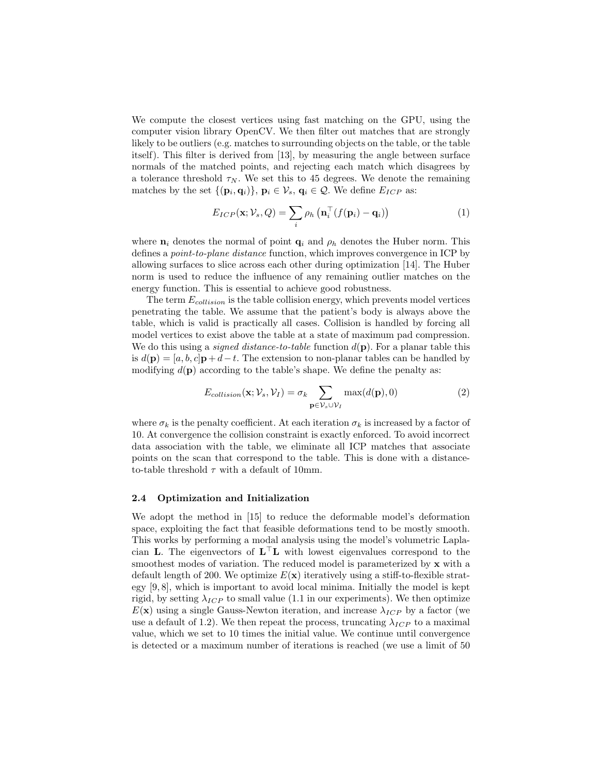We compute the closest vertices using fast matching on the GPU, using the computer vision library OpenCV. We then filter out matches that are strongly likely to be outliers (e.g. matches to surrounding objects on the table, or the table itself). This filter is derived from [13], by measuring the angle between surface normals of the matched points, and rejecting each match which disagrees by a tolerance threshold  $\tau_N$ . We set this to 45 degrees. We denote the remaining matches by the set  $\{(\mathbf{p}_i, \mathbf{q}_i)\}, \, \mathbf{p}_i \in \mathcal{V}_s, \, \mathbf{q}_i \in \mathcal{Q}$ . We define  $E_{ICP}$  as:

$$
E_{ICP}(\mathbf{x}; \mathcal{V}_s, Q) = \sum_{i} \rho_h \left( \mathbf{n}_i^\top (f(\mathbf{p}_i) - \mathbf{q}_i) \right)
$$
(1)

where  $n_i$  denotes the normal of point  $q_i$  and  $\rho_h$  denotes the Huber norm. This defines a point-to-plane distance function, which improves convergence in ICP by allowing surfaces to slice across each other during optimization [14]. The Huber norm is used to reduce the influence of any remaining outlier matches on the energy function. This is essential to achieve good robustness.

The term  $E_{collision}$  is the table collision energy, which prevents model vertices penetrating the table. We assume that the patient's body is always above the table, which is valid is practically all cases. Collision is handled by forcing all model vertices to exist above the table at a state of maximum pad compression. We do this using a *signed distance-to-table* function  $d(\mathbf{p})$ . For a planar table this is  $d(\mathbf{p}) = [a, b, c]\mathbf{p}+d-t$ . The extension to non-planar tables can be handled by modifying  $d(\mathbf{p})$  according to the table's shape. We define the penalty as:

$$
E_{collision}(\mathbf{x}; \mathcal{V}_s, \mathcal{V}_I) = \sigma_k \sum_{\mathbf{p} \in \mathcal{V}_s \cup \mathcal{V}_I} \max(d(\mathbf{p}), 0)
$$
(2)

where  $\sigma_k$  is the penalty coefficient. At each iteration  $\sigma_k$  is increased by a factor of 10. At convergence the collision constraint is exactly enforced. To avoid incorrect data association with the table, we eliminate all ICP matches that associate points on the scan that correspond to the table. This is done with a distanceto-table threshold  $\tau$  with a default of 10mm.

#### 2.4 Optimization and Initialization

We adopt the method in [15] to reduce the deformable model's deformation space, exploiting the fact that feasible deformations tend to be mostly smooth. This works by performing a modal analysis using the model's volumetric Laplacian **L**. The eigenvectors of  $L^{\top}L$  with lowest eigenvalues correspond to the smoothest modes of variation. The reduced model is parameterized by x with a default length of 200. We optimize  $E(\mathbf{x})$  iteratively using a stiff-to-flexible strategy [9, 8], which is important to avoid local minima. Initially the model is kept rigid, by setting  $\lambda_{ICP}$  to small value (1.1 in our experiments). We then optimize  $E(\mathbf{x})$  using a single Gauss-Newton iteration, and increase  $\lambda_{ICP}$  by a factor (we use a default of 1.2). We then repeat the process, truncating  $\lambda_{ICP}$  to a maximal value, which we set to 10 times the initial value. We continue until convergence is detected or a maximum number of iterations is reached (we use a limit of 50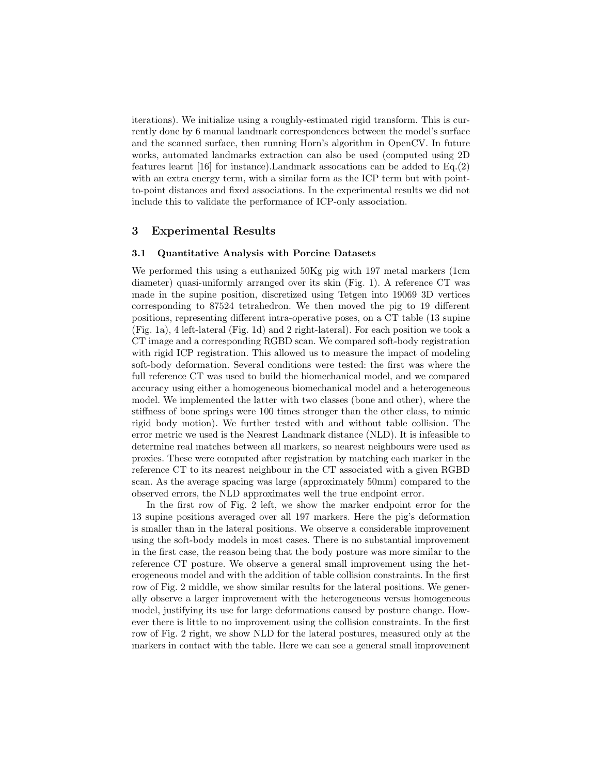iterations). We initialize using a roughly-estimated rigid transform. This is currently done by 6 manual landmark correspondences between the model's surface and the scanned surface, then running Horn's algorithm in OpenCV. In future works, automated landmarks extraction can also be used (computed using 2D features learnt [16] for instance).Landmark assocations can be added to Eq.(2) with an extra energy term, with a similar form as the ICP term but with pointto-point distances and fixed associations. In the experimental results we did not include this to validate the performance of ICP-only association.

# 3 Experimental Results

#### 3.1 Quantitative Analysis with Porcine Datasets

We performed this using a euthanized  $50\text{Kg}$  pig with 197 metal markers (1cm diameter) quasi-uniformly arranged over its skin (Fig. 1). A reference CT was made in the supine position, discretized using Tetgen into 19069 3D vertices corresponding to 87524 tetrahedron. We then moved the pig to 19 different positions, representing different intra-operative poses, on a CT table (13 supine (Fig. 1a), 4 left-lateral (Fig. 1d) and 2 right-lateral). For each position we took a CT image and a corresponding RGBD scan. We compared soft-body registration with rigid ICP registration. This allowed us to measure the impact of modeling soft-body deformation. Several conditions were tested: the first was where the full reference CT was used to build the biomechanical model, and we compared accuracy using either a homogeneous biomechanical model and a heterogeneous model. We implemented the latter with two classes (bone and other), where the stiffness of bone springs were 100 times stronger than the other class, to mimic rigid body motion). We further tested with and without table collision. The error metric we used is the Nearest Landmark distance (NLD). It is infeasible to determine real matches between all markers, so nearest neighbours were used as proxies. These were computed after registration by matching each marker in the reference CT to its nearest neighbour in the CT associated with a given RGBD scan. As the average spacing was large (approximately 50mm) compared to the observed errors, the NLD approximates well the true endpoint error.

In the first row of Fig. 2 left, we show the marker endpoint error for the 13 supine positions averaged over all 197 markers. Here the pig's deformation is smaller than in the lateral positions. We observe a considerable improvement using the soft-body models in most cases. There is no substantial improvement in the first case, the reason being that the body posture was more similar to the reference CT posture. We observe a general small improvement using the heterogeneous model and with the addition of table collision constraints. In the first row of Fig. 2 middle, we show similar results for the lateral positions. We generally observe a larger improvement with the heterogeneous versus homogeneous model, justifying its use for large deformations caused by posture change. However there is little to no improvement using the collision constraints. In the first row of Fig. 2 right, we show NLD for the lateral postures, measured only at the markers in contact with the table. Here we can see a general small improvement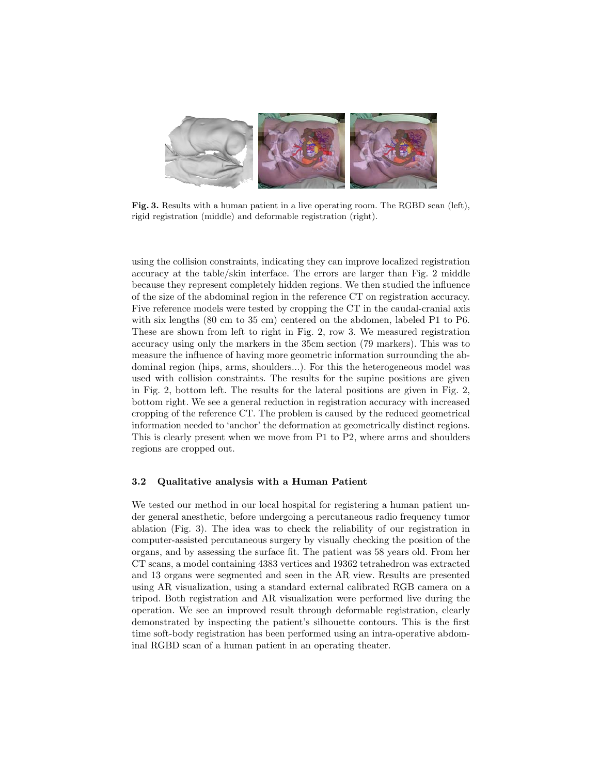

Fig. 3. Results with a human patient in a live operating room. The RGBD scan (left), rigid registration (middle) and deformable registration (right).

using the collision constraints, indicating they can improve localized registration accuracy at the table/skin interface. The errors are larger than Fig. 2 middle because they represent completely hidden regions. We then studied the influence of the size of the abdominal region in the reference CT on registration accuracy. Five reference models were tested by cropping the CT in the caudal-cranial axis with six lengths (80 cm to 35 cm) centered on the abdomen, labeled P1 to P6. These are shown from left to right in Fig. 2, row 3. We measured registration accuracy using only the markers in the 35cm section (79 markers). This was to measure the influence of having more geometric information surrounding the abdominal region (hips, arms, shoulders...). For this the heterogeneous model was used with collision constraints. The results for the supine positions are given in Fig. 2, bottom left. The results for the lateral positions are given in Fig. 2, bottom right. We see a general reduction in registration accuracy with increased cropping of the reference CT. The problem is caused by the reduced geometrical information needed to 'anchor' the deformation at geometrically distinct regions. This is clearly present when we move from P1 to P2, where arms and shoulders regions are cropped out.

## 3.2 Qualitative analysis with a Human Patient

We tested our method in our local hospital for registering a human patient under general anesthetic, before undergoing a percutaneous radio frequency tumor ablation (Fig. 3). The idea was to check the reliability of our registration in computer-assisted percutaneous surgery by visually checking the position of the organs, and by assessing the surface fit. The patient was 58 years old. From her CT scans, a model containing 4383 vertices and 19362 tetrahedron was extracted and 13 organs were segmented and seen in the AR view. Results are presented using AR visualization, using a standard external calibrated RGB camera on a tripod. Both registration and AR visualization were performed live during the operation. We see an improved result through deformable registration, clearly demonstrated by inspecting the patient's silhouette contours. This is the first time soft-body registration has been performed using an intra-operative abdominal RGBD scan of a human patient in an operating theater.